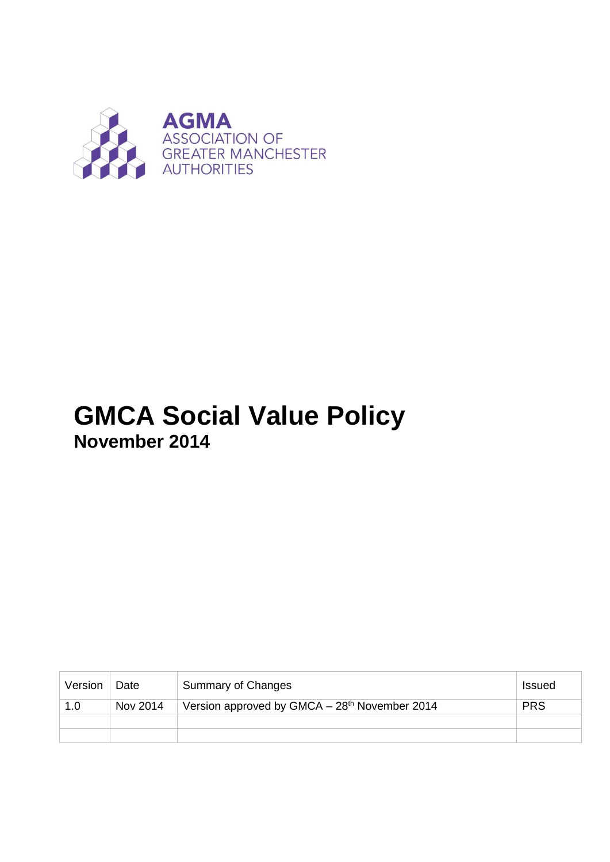

# **GMCA Social Value Policy November 2014**

| Version | Date     | Summary of Changes                                        | <b>Issued</b> |
|---------|----------|-----------------------------------------------------------|---------------|
| 1.0     | Nov 2014 | Version approved by GMCA - 28 <sup>th</sup> November 2014 | <b>PRS</b>    |
|         |          |                                                           |               |
|         |          |                                                           |               |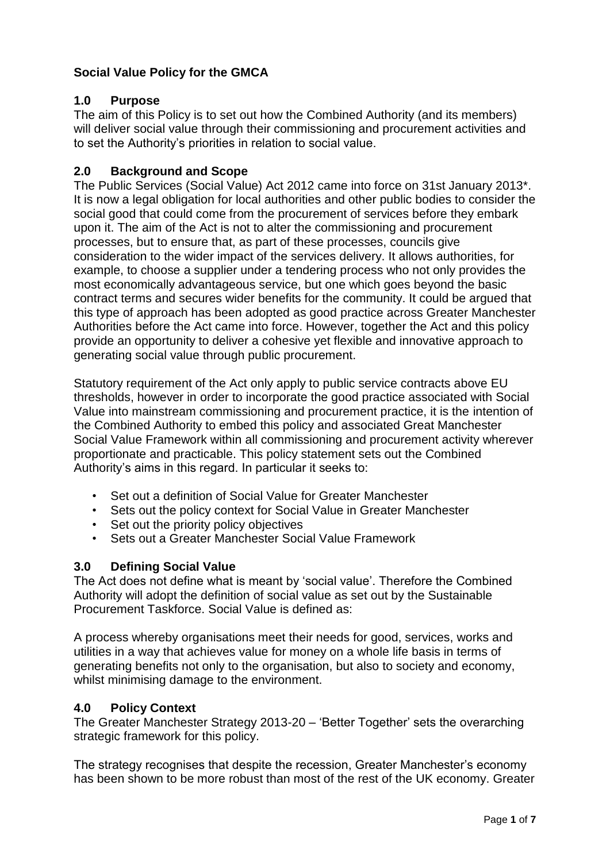# **Social Value Policy for the GMCA**

## **1.0 Purpose**

The aim of this Policy is to set out how the Combined Authority (and its members) will deliver social value through their commissioning and procurement activities and to set the Authority's priorities in relation to social value.

## **2.0 Background and Scope**

The Public Services (Social Value) Act 2012 came into force on 31st January 2013\*. It is now a legal obligation for local authorities and other public bodies to consider the social good that could come from the procurement of services before they embark upon it. The aim of the Act is not to alter the commissioning and procurement processes, but to ensure that, as part of these processes, councils give consideration to the wider impact of the services delivery. It allows authorities, for example, to choose a supplier under a tendering process who not only provides the most economically advantageous service, but one which goes beyond the basic contract terms and secures wider benefits for the community. It could be argued that this type of approach has been adopted as good practice across Greater Manchester Authorities before the Act came into force. However, together the Act and this policy provide an opportunity to deliver a cohesive yet flexible and innovative approach to generating social value through public procurement.

Statutory requirement of the Act only apply to public service contracts above EU thresholds, however in order to incorporate the good practice associated with Social Value into mainstream commissioning and procurement practice, it is the intention of the Combined Authority to embed this policy and associated Great Manchester Social Value Framework within all commissioning and procurement activity wherever proportionate and practicable. This policy statement sets out the Combined Authority's aims in this regard. In particular it seeks to:

- Set out a definition of Social Value for Greater Manchester
- Sets out the policy context for Social Value in Greater Manchester
- Set out the priority policy objectives
- Sets out a Greater Manchester Social Value Framework

#### **3.0 Defining Social Value**

The Act does not define what is meant by 'social value'. Therefore the Combined Authority will adopt the definition of social value as set out by the Sustainable Procurement Taskforce. Social Value is defined as:

A process whereby organisations meet their needs for good, services, works and utilities in a way that achieves value for money on a whole life basis in terms of generating benefits not only to the organisation, but also to society and economy, whilst minimising damage to the environment.

#### **4.0 Policy Context**

The Greater Manchester Strategy 2013-20 – 'Better Together' sets the overarching strategic framework for this policy.

The strategy recognises that despite the recession, Greater Manchester's economy has been shown to be more robust than most of the rest of the UK economy. Greater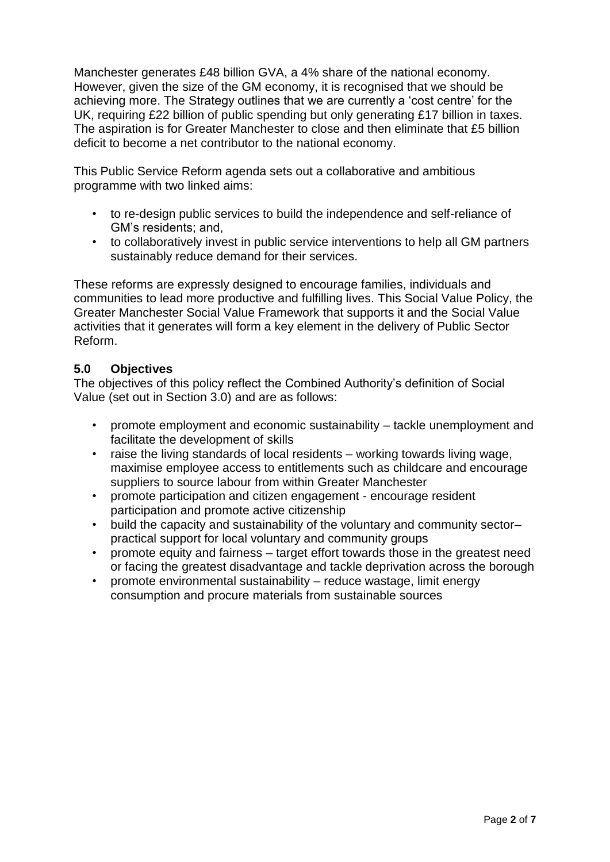Manchester generates £48 billion GVA, a 4% share of the national economy. However, given the size of the GM economy, it is recognised that we should be achieving more. The Strategy outlines that we are currently a 'cost centre' for the UK, requiring £22 billion of public spending but only generating £17 billion in taxes. The aspiration is for Greater Manchester to close and then eliminate that £5 billion deficit to become a net contributor to the national economy.

This Public Service Reform agenda sets out a collaborative and ambitious programme with two linked aims:

- to re-design public services to build the independence and self-reliance of GM's residents; and,
- to collaboratively invest in public service interventions to help all GM partners sustainably reduce demand for their services.

These reforms are expressly designed to encourage families, individuals and communities to lead more productive and fulfilling lives. This Social Value Policy, the Greater Manchester Social Value Framework that supports it and the Social Value activities that it generates will form a key element in the delivery of Public Sector Reform.

# **5.0 Objectives**

The objectives of this policy reflect the Combined Authority's definition of Social Value (set out in Section 3.0) and are as follows:

- promote employment and economic sustainability tackle unemployment and facilitate the development of skills
- raise the living standards of local residents working towards living wage, maximise employee access to entitlements such as childcare and encourage suppliers to source labour from within Greater Manchester
- promote participation and citizen engagement encourage resident participation and promote active citizenship
- build the capacity and sustainability of the voluntary and community sectorpractical support for local voluntary and community groups
- promote equity and fairness target effort towards those in the greatest need or facing the greatest disadvantage and tackle deprivation across the borough
- promote environmental sustainability reduce wastage, limit energy consumption and procure materials from sustainable sources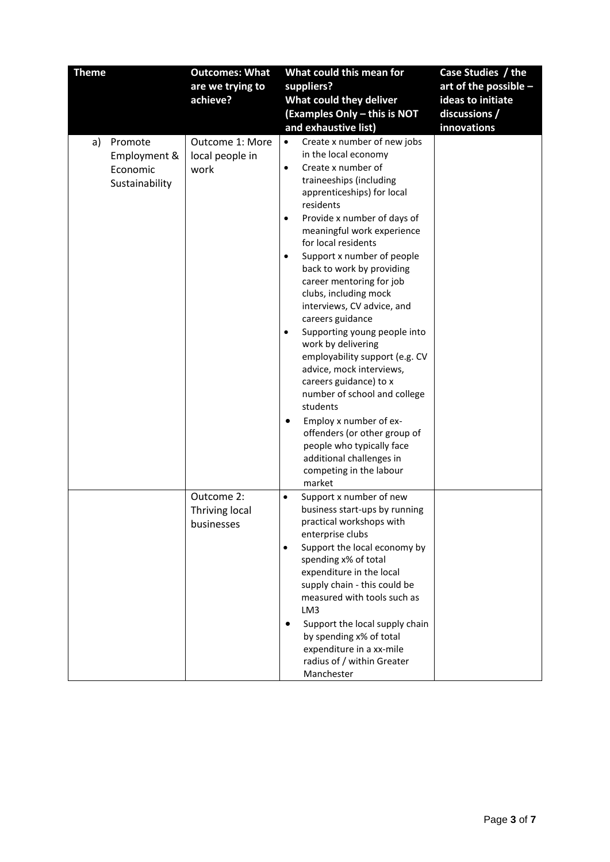| <b>Theme</b>              |                                | <b>Outcomes: What</b>                      | What could this mean for                                                                                                                                                                                                                                                                                                                                                                                                                                                                                                                                                                                                                                                                                              | Case Studies / the    |
|---------------------------|--------------------------------|--------------------------------------------|-----------------------------------------------------------------------------------------------------------------------------------------------------------------------------------------------------------------------------------------------------------------------------------------------------------------------------------------------------------------------------------------------------------------------------------------------------------------------------------------------------------------------------------------------------------------------------------------------------------------------------------------------------------------------------------------------------------------------|-----------------------|
|                           |                                | are we trying to                           | suppliers?                                                                                                                                                                                                                                                                                                                                                                                                                                                                                                                                                                                                                                                                                                            | art of the possible - |
|                           |                                | achieve?                                   | What could they deliver                                                                                                                                                                                                                                                                                                                                                                                                                                                                                                                                                                                                                                                                                               | ideas to initiate     |
|                           |                                |                                            | (Examples Only - this is NOT                                                                                                                                                                                                                                                                                                                                                                                                                                                                                                                                                                                                                                                                                          | discussions /         |
|                           |                                |                                            | and exhaustive list)                                                                                                                                                                                                                                                                                                                                                                                                                                                                                                                                                                                                                                                                                                  | innovations           |
| Promote<br>a)<br>Economic | Employment &<br>Sustainability | Outcome 1: More<br>local people in<br>work | Create x number of new jobs<br>$\bullet$<br>in the local economy<br>Create x number of<br>$\bullet$<br>traineeships (including<br>apprenticeships) for local<br>residents<br>Provide x number of days of<br>٠<br>meaningful work experience<br>for local residents<br>Support x number of people<br>back to work by providing<br>career mentoring for job<br>clubs, including mock<br>interviews, CV advice, and<br>careers guidance<br>Supporting young people into<br>work by delivering<br>employability support (e.g. CV<br>advice, mock interviews,<br>careers guidance) to x<br>number of school and college<br>students<br>Employ x number of ex-<br>offenders (or other group of<br>people who typically face |                       |
|                           |                                |                                            | additional challenges in<br>competing in the labour<br>market                                                                                                                                                                                                                                                                                                                                                                                                                                                                                                                                                                                                                                                         |                       |
|                           |                                | Outcome 2:<br>Thriving local<br>businesses | Support x number of new<br>$\bullet$<br>business start-ups by running<br>practical workshops with<br>enterprise clubs<br>Support the local economy by<br>$\bullet$<br>spending x% of total<br>expenditure in the local<br>supply chain - this could be<br>measured with tools such as<br>LM3<br>Support the local supply chain<br>$\bullet$<br>by spending x% of total<br>expenditure in a xx-mile<br>radius of / within Greater<br>Manchester                                                                                                                                                                                                                                                                        |                       |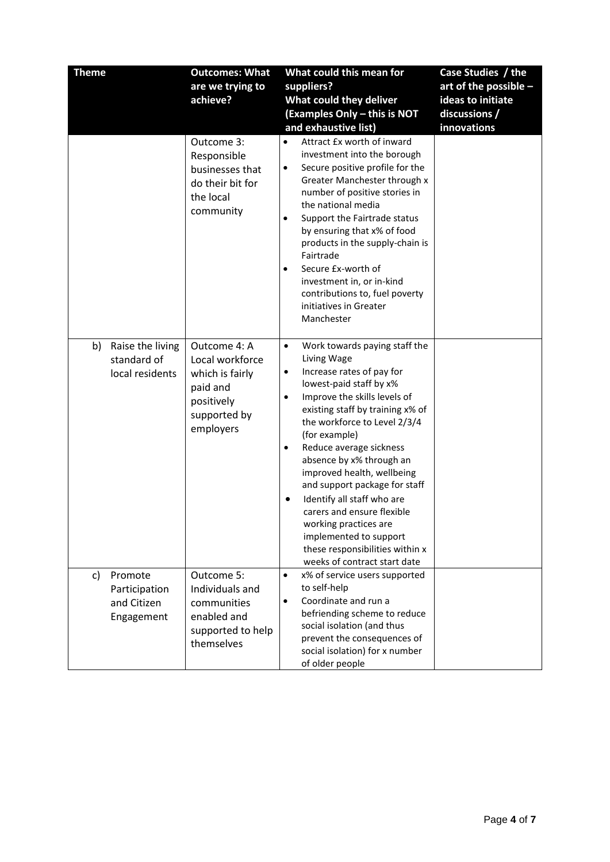| <b>Theme</b>                                                | <b>Outcomes: What</b>                                                                                     | What could this mean for                                                                                                                                                                                                                                                                                                                                                                                                                                                                                                                                                                   | Case Studies / the      |
|-------------------------------------------------------------|-----------------------------------------------------------------------------------------------------------|--------------------------------------------------------------------------------------------------------------------------------------------------------------------------------------------------------------------------------------------------------------------------------------------------------------------------------------------------------------------------------------------------------------------------------------------------------------------------------------------------------------------------------------------------------------------------------------------|-------------------------|
|                                                             | are we trying to                                                                                          | suppliers?                                                                                                                                                                                                                                                                                                                                                                                                                                                                                                                                                                                 | art of the possible $-$ |
|                                                             | achieve?                                                                                                  | What could they deliver                                                                                                                                                                                                                                                                                                                                                                                                                                                                                                                                                                    | ideas to initiate       |
|                                                             |                                                                                                           | (Examples Only - this is NOT                                                                                                                                                                                                                                                                                                                                                                                                                                                                                                                                                               | discussions /           |
|                                                             |                                                                                                           | and exhaustive list)                                                                                                                                                                                                                                                                                                                                                                                                                                                                                                                                                                       | innovations             |
|                                                             | Outcome 3:<br>Responsible<br>businesses that<br>do their bit for<br>the local<br>community                | Attract £x worth of inward<br>$\bullet$<br>investment into the borough<br>Secure positive profile for the<br>$\bullet$<br>Greater Manchester through x<br>number of positive stories in<br>the national media<br>Support the Fairtrade status<br>$\bullet$<br>by ensuring that x% of food<br>products in the supply-chain is<br>Fairtrade<br>Secure £x-worth of<br>$\bullet$<br>investment in, or in-kind<br>contributions to, fuel poverty<br>initiatives in Greater<br>Manchester                                                                                                        |                         |
| Raise the living<br>b)<br>standard of<br>local residents    | Outcome 4: A<br>Local workforce<br>which is fairly<br>paid and<br>positively<br>supported by<br>employers | Work towards paying staff the<br>$\bullet$<br>Living Wage<br>Increase rates of pay for<br>$\bullet$<br>lowest-paid staff by x%<br>Improve the skills levels of<br>٠<br>existing staff by training x% of<br>the workforce to Level 2/3/4<br>(for example)<br>Reduce average sickness<br>$\bullet$<br>absence by x% through an<br>improved health, wellbeing<br>and support package for staff<br>Identify all staff who are<br>$\bullet$<br>carers and ensure flexible<br>working practices are<br>implemented to support<br>these responsibilities within x<br>weeks of contract start date |                         |
| c)<br>Promote<br>Participation<br>and Citizen<br>Engagement | Outcome 5:<br>Individuals and<br>communities<br>enabled and<br>supported to help<br>themselves            | x% of service users supported<br>$\bullet$<br>to self-help<br>Coordinate and run a<br>$\bullet$<br>befriending scheme to reduce<br>social isolation (and thus<br>prevent the consequences of<br>social isolation) for x number<br>of older people                                                                                                                                                                                                                                                                                                                                          |                         |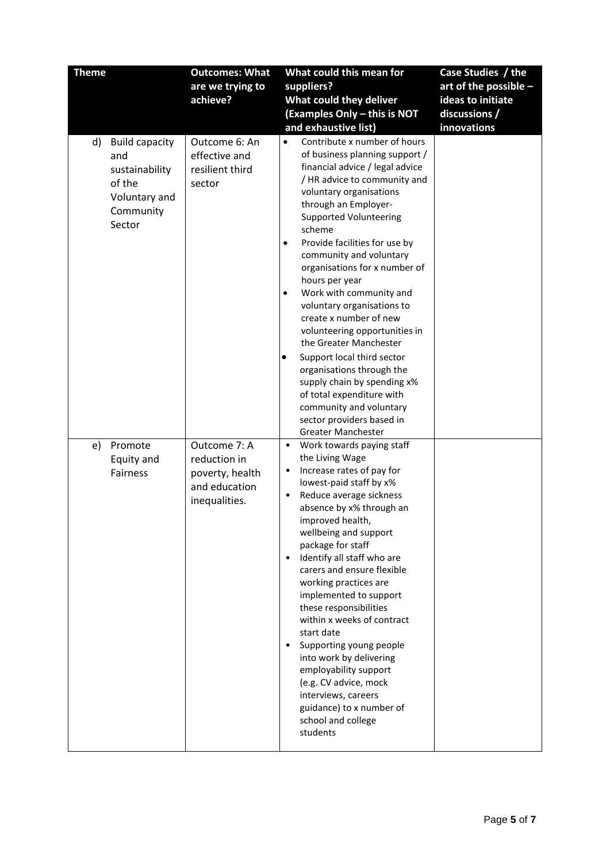| <b>Theme</b>                                                                                           | <b>Outcomes: What</b>                                                             | What could this mean for                                                                                                                                                                                                                                                                                                                                                                                                                                                                                                                                                                                                                                                                                                                        | Case Studies / the      |
|--------------------------------------------------------------------------------------------------------|-----------------------------------------------------------------------------------|-------------------------------------------------------------------------------------------------------------------------------------------------------------------------------------------------------------------------------------------------------------------------------------------------------------------------------------------------------------------------------------------------------------------------------------------------------------------------------------------------------------------------------------------------------------------------------------------------------------------------------------------------------------------------------------------------------------------------------------------------|-------------------------|
|                                                                                                        | are we trying to                                                                  | suppliers?                                                                                                                                                                                                                                                                                                                                                                                                                                                                                                                                                                                                                                                                                                                                      | art of the possible $-$ |
|                                                                                                        | achieve?                                                                          | What could they deliver                                                                                                                                                                                                                                                                                                                                                                                                                                                                                                                                                                                                                                                                                                                         | ideas to initiate       |
|                                                                                                        |                                                                                   | (Examples Only - this is NOT                                                                                                                                                                                                                                                                                                                                                                                                                                                                                                                                                                                                                                                                                                                    | discussions /           |
|                                                                                                        |                                                                                   | and exhaustive list)                                                                                                                                                                                                                                                                                                                                                                                                                                                                                                                                                                                                                                                                                                                            | innovations             |
| <b>Build capacity</b><br>d)<br>and<br>sustainability<br>of the<br>Voluntary and<br>Community<br>Sector | Outcome 6: An<br>effective and<br>resilient third<br>sector                       | Contribute x number of hours<br>$\bullet$<br>of business planning support /<br>financial advice / legal advice<br>/ HR advice to community and<br>voluntary organisations<br>through an Employer-<br><b>Supported Volunteering</b><br>scheme<br>Provide facilities for use by<br>$\bullet$<br>community and voluntary<br>organisations for x number of<br>hours per year<br>Work with community and<br>$\bullet$<br>voluntary organisations to<br>create x number of new<br>volunteering opportunities in<br>the Greater Manchester<br>Support local third sector<br>organisations through the<br>supply chain by spending x%<br>of total expenditure with<br>community and voluntary<br>sector providers based in<br><b>Greater Manchester</b> |                         |
| Promote<br>e)<br>Equity and<br><b>Fairness</b>                                                         | Outcome 7: A<br>reduction in<br>poverty, health<br>and education<br>inequalities. | Work towards paying staff<br>$\bullet$<br>the Living Wage<br>Increase rates of pay for<br>$\bullet$<br>lowest-paid staff by x%<br>Reduce average sickness<br>$\bullet$<br>absence by x% through an<br>improved health,<br>wellbeing and support<br>package for staff<br>Identify all staff who are<br>$\bullet$<br>carers and ensure flexible<br>working practices are<br>implemented to support<br>these responsibilities<br>within x weeks of contract<br>start date<br>Supporting young people<br>$\bullet$<br>into work by delivering<br>employability support<br>(e.g. CV advice, mock<br>interviews, careers<br>guidance) to x number of<br>school and college<br>students                                                                |                         |